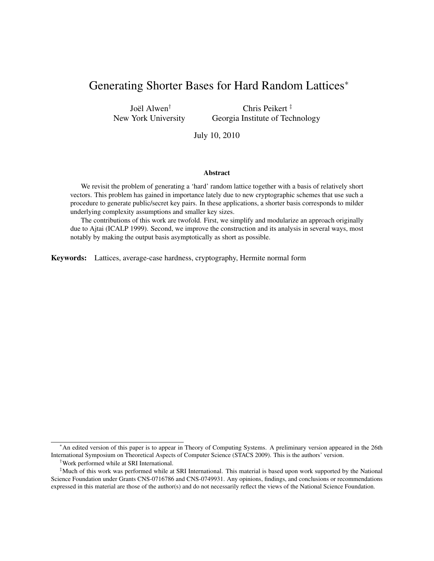# Generating Shorter Bases for Hard Random Lattices<sup>∗</sup>

Joël Alwen<sup>†</sup> New York University

Chris Peikert ‡ Georgia Institute of Technology

July 10, 2010

#### Abstract

We revisit the problem of generating a 'hard' random lattice together with a basis of relatively short vectors. This problem has gained in importance lately due to new cryptographic schemes that use such a procedure to generate public/secret key pairs. In these applications, a shorter basis corresponds to milder underlying complexity assumptions and smaller key sizes.

The contributions of this work are twofold. First, we simplify and modularize an approach originally due to Ajtai (ICALP 1999). Second, we improve the construction and its analysis in several ways, most notably by making the output basis asymptotically as short as possible.

Keywords: Lattices, average-case hardness, cryptography, Hermite normal form

<sup>∗</sup>An edited version of this paper is to appear in Theory of Computing Systems. A preliminary version appeared in the 26th International Symposium on Theoretical Aspects of Computer Science (STACS 2009). This is the authors' version.

<sup>†</sup>Work performed while at SRI International.

<sup>‡</sup>Much of this work was performed while at SRI International. This material is based upon work supported by the National Science Foundation under Grants CNS-0716786 and CNS-0749931. Any opinions, findings, and conclusions or recommendations expressed in this material are those of the author(s) and do not necessarily reflect the views of the National Science Foundation.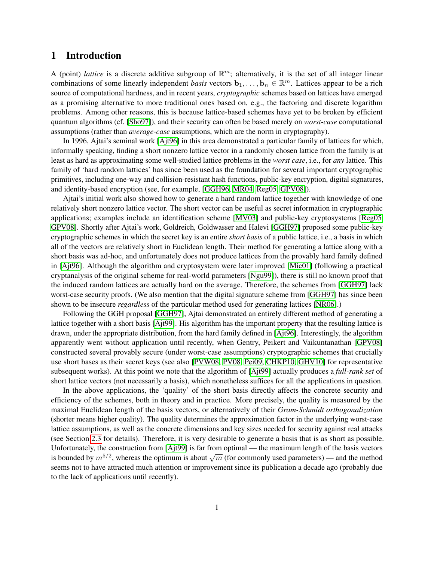# 1 Introduction

A (point) *lattice* is a discrete additive subgroup of  $\mathbb{R}^m$ ; alternatively, it is the set of all integer linear combinations of some linearly independent *basis* vectors  $\mathbf{b}_1, \ldots, \mathbf{b}_n \in \mathbb{R}^m$ . Lattices appear to be a rich source of computational hardness, and in recent years, *cryptographic* schemes based on lattices have emerged as a promising alternative to more traditional ones based on, e.g., the factoring and discrete logarithm problems. Among other reasons, this is because lattice-based schemes have yet to be broken by efficient quantum algorithms (cf. [\[Sho97\]](#page-17-0)), and their security can often be based merely on *worst-case* computational assumptions (rather than *average-case* assumptions, which are the norm in cryptography).

In 1996, Ajtai's seminal work [\[Ajt96\]](#page-16-0) in this area demonstrated a particular family of lattices for which, informally speaking, finding a short nonzero lattice vector in a randomly chosen lattice from the family is at least as hard as approximating some well-studied lattice problems in the *worst case*, i.e., for *any* lattice. This family of 'hard random lattices' has since been used as the foundation for several important cryptographic primitives, including one-way and collision-resistant hash functions, public-key encryption, digital signatures, and identity-based encryption (see, for example, [\[GGH96,](#page-16-1) [MR04,](#page-17-1) [Reg05,](#page-17-2) [GPV08\]](#page-16-2)).

Ajtai's initial work also showed how to generate a hard random lattice together with knowledge of one relatively short nonzero lattice vector. The short vector can be useful as secret information in cryptographic applications; examples include an identification scheme [\[MV03\]](#page-17-3) and public-key cryptosystems [\[Reg05,](#page-17-2) [GPV08\]](#page-16-2). Shortly after Ajtai's work, Goldreich, Goldwasser and Halevi [\[GGH97\]](#page-16-3) proposed some public-key cryptographic schemes in which the secret key is an entire *short basis* of a public lattice, i.e., a basis in which all of the vectors are relatively short in Euclidean length. Their method for generating a lattice along with a short basis was ad-hoc, and unfortunately does not produce lattices from the provably hard family defined in [\[Ajt96\]](#page-16-0). Although the algorithm and cryptosystem were later improved [\[Mic01\]](#page-17-4) (following a practical cryptanalysis of the original scheme for real-world parameters [\[Ngu99\]](#page-17-5)), there is still no known proof that the induced random lattices are actually hard on the average. Therefore, the schemes from [\[GGH97\]](#page-16-3) lack worst-case security proofs. (We also mention that the digital signature scheme from [\[GGH97\]](#page-16-3) has since been shown to be insecure *regardless* of the particular method used for generating lattices [\[NR06\]](#page-17-6).)

Following the GGH proposal [\[GGH97\]](#page-16-3), Ajtai demonstrated an entirely different method of generating a lattice together with a short basis [\[Ajt99\]](#page-16-4). His algorithm has the important property that the resulting lattice is drawn, under the appropriate distribution, from the hard family defined in [\[Ajt96\]](#page-16-0). Interestingly, the algorithm apparently went without application until recently, when Gentry, Peikert and Vaikuntanathan [\[GPV08\]](#page-16-2) constructed several provably secure (under worst-case assumptions) cryptographic schemes that crucially use short bases as their secret keys (see also [\[PVW08,](#page-17-7) [PV08,](#page-17-8) [Pei09,](#page-17-9) [CHKP10,](#page-16-5) [GHV10\]](#page-16-6) for representative subsequent works). At this point we note that the algorithm of [\[Ajt99\]](#page-16-4) actually produces a *full-rank set* of short lattice vectors (not necessarily a basis), which nonetheless suffices for all the applications in question.

In the above applications, the 'quality' of the short basis directly affects the concrete security and efficiency of the schemes, both in theory and in practice. More precisely, the quality is measured by the maximal Euclidean length of the basis vectors, or alternatively of their *Gram-Schmidt orthogonalization* (shorter means higher quality). The quality determines the approximation factor in the underlying worst-case lattice assumptions, as well as the concrete dimensions and key sizes needed for security against real attacks (see Section [2.3](#page-4-0) for details). Therefore, it is very desirable to generate a basis that is as short as possible. Unfortunately, the construction from [\[Ajt99\]](#page-16-4) is far from optimal — the maximum length of the basis vectors omordinately, the construction from [AJ(99)] is far from optimar — the maximum length of the basis vectors is bounded by  $m^{5/2}$ , whereas the optimum is about  $\sqrt{m}$  (for commonly used parameters) — and the method seems not to have attracted much attention or improvement since its publication a decade ago (probably due to the lack of applications until recently).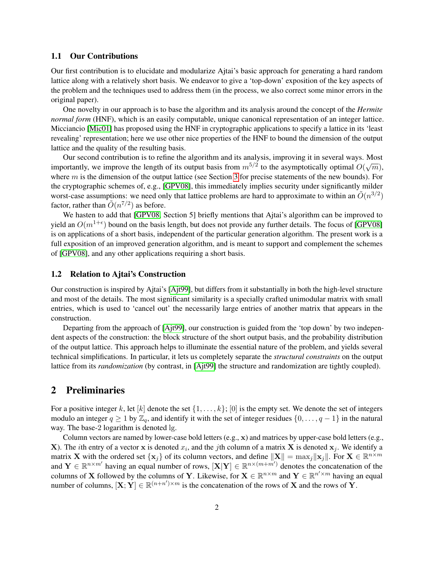### 1.1 Our Contributions

Our first contribution is to elucidate and modularize Ajtai's basic approach for generating a hard random lattice along with a relatively short basis. We endeavor to give a 'top-down' exposition of the key aspects of the problem and the techniques used to address them (in the process, we also correct some minor errors in the original paper).

One novelty in our approach is to base the algorithm and its analysis around the concept of the *Hermite normal form* (HNF), which is an easily computable, unique canonical representation of an integer lattice. Micciancio [\[Mic01\]](#page-17-4) has proposed using the HNF in cryptographic applications to specify a lattice in its 'least revealing' representation; here we use other nice properties of the HNF to bound the dimension of the output lattice and the quality of the resulting basis.

Our second contribution is to refine the algorithm and its analysis, improving it in several ways. Most our second contribution is to tend the algorithm and its analysis, improving it in several ways. Most<br>importantly, we improve the length of its output basis from  $m^{5/2}$  to the asymptotically optimal  $O(\sqrt{m})$ , where  $m$  is the dimension of the output lattice (see Section [3](#page-7-0) for precise statements of the new bounds). For the cryptographic schemes of, e.g., [\[GPV08\]](#page-16-2), this immediately implies security under significantly milder worst-case assumptions: we need only that lattice problems are hard to approximate to within an  $\tilde{O}(n^{3/2})$ factor, rather than  $\tilde{O}(n^{7/2})$  as before.

We hasten to add that [\[GPV08,](#page-16-2) Section 5] briefly mentions that Ajtai's algorithm can be improved to yield an  $O(m^{1+\epsilon})$  bound on the basis length, but does not provide any further details. The focus of [\[GPV08\]](#page-16-2) is on applications of a short basis, independent of the particular generation algorithm. The present work is a full exposition of an improved generation algorithm, and is meant to support and complement the schemes of [\[GPV08\]](#page-16-2), and any other applications requiring a short basis.

### 1.2 Relation to Ajtai's Construction

Our construction is inspired by Ajtai's [\[Ajt99\]](#page-16-4), but differs from it substantially in both the high-level structure and most of the details. The most significant similarity is a specially crafted unimodular matrix with small entries, which is used to 'cancel out' the necessarily large entries of another matrix that appears in the construction.

Departing from the approach of [\[Ajt99\]](#page-16-4), our construction is guided from the 'top down' by two independent aspects of the construction: the block structure of the short output basis, and the probability distribution of the output lattice. This approach helps to illuminate the essential nature of the problem, and yields several technical simplifications. In particular, it lets us completely separate the *structural constraints* on the output lattice from its *randomization* (by contrast, in [\[Ajt99\]](#page-16-4) the structure and randomization are tightly coupled).

# 2 Preliminaries

For a positive integer k, let [k] denote the set  $\{1, \ldots, k\}$ ; [0] is the empty set. We denote the set of integers modulo an integer  $q \ge 1$  by  $\mathbb{Z}_q$ , and identify it with the set of integer residues  $\{0, \ldots, q-1\}$  in the natural way. The base-2 logarithm is denoted lg.

Column vectors are named by lower-case bold letters (e.g., x) and matrices by upper-case bold letters (e.g., **X**). The *i*th entry of a vector **x** is denoted  $x_i$ , and the *j*th column of a matrix **X** is denoted  $x_j$ . We identify a matrix **X** with the ordered set  $\{x_j\}$  of its column vectors, and define  $\|\mathbf{X}\| = \max_j \|\mathbf{x}_j\|$ . For  $\mathbf{X} \in \mathbb{R}^{n \times m}$ and  $\mathbf{Y} \in \mathbb{R}^{n \times m'}$  having an equal number of rows,  $[\mathbf{X} | \mathbf{Y}] \in \mathbb{R}^{n \times (m+m')}$  denotes the concatenation of the columns of X followed by the columns of Y. Likewise, for  $X \in \mathbb{R}^{n \times m}$  and  $Y \in \mathbb{R}^{n' \times m}$  having an equal number of columns,  $[X; Y] \in \mathbb{R}^{(n+n') \times m}$  is the concatenation of the rows of X and the rows of Y.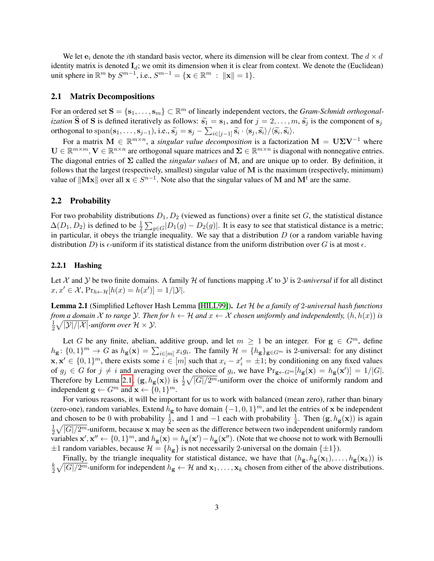We let  $e_i$  denote the *i*th standard basis vector, where its dimension will be clear from context. The  $d \times d$ identity matrix is denoted  $I_d$ ; we omit its dimension when it is clear from context. We denote the (Euclidean) unit sphere in  $\mathbb{R}^m$  by  $S^{m-1}$ , i.e.,  $S^{m-1} = \{ \mathbf{x} \in \mathbb{R}^m : ||\mathbf{x}|| = 1 \}.$ 

#### 2.1 Matrix Decompositions

For an ordered set  $S = \{s_1, \ldots, s_m\} \subset \mathbb{R}^m$  of linearly independent vectors, the *Gram-Schmidt orthogonalization* **S** of **S** is defined iteratively as follows:  $\tilde{s}_1 = s_1$ , and for  $j = 2, ..., m$ ,  $\tilde{s}_j$  is the component of  $s_j$ orthogonal to span( $\mathbf{s}_1, \ldots, \mathbf{s}_{j-1}$ ), i.e.,  $\widetilde{\mathbf{s}}_j = \mathbf{s}_j - \sum_{i \in [j-1]} \widetilde{\mathbf{s}}_i \cdot \langle \mathbf{s}_j, \widetilde{\mathbf{s}}_i \rangle / \langle \widetilde{\mathbf{s}}_i, \widetilde{\mathbf{s}}_i \rangle$ .

For a matrix  $M \in \mathbb{R}^{m \times n}$ , a *singular value decomposition* is a factorization  $M = U\Sigma V^{-1}$  where  $\mathbf{U} \in \mathbb{R}^{m \times m}, \mathbf{V} \in \mathbb{R}^{n \times n}$  are orthogonal square matrices and  $\mathbf{\Sigma} \in \mathbb{R}^{m \times n}$  is diagonal with nonnegative entries. The diagonal entries of Σ called the *singular values* of M, and are unique up to order. By definition, it follows that the largest (respectively, smallest) singular value of M is the maximum (respectively, minimum) value of  $\|\mathbf{Mx}\|$  over all  $\mathbf{x} \in S^{n-1}$ . Note also that the singular values of M and  $\mathbf{M}^t$  are the same.

#### 2.2 Probability

For two probability distributions  $D_1, D_2$  (viewed as functions) over a finite set G, the statistical distance  $\Delta(D_1, D_2)$  is defined to be  $\frac{1}{2} \sum_{g \in G} |D_1(g) - D_2(g)|$ . It is easy to see that statistical distance is a metric; in particular, it obeys the triangle inequality. We say that a distribution  $D$  (or a random variable having distribution D) is  $\epsilon$ -uniform if its statistical distance from the uniform distribution over G is at most  $\epsilon$ .

#### 2.2.1 Hashing

Let  $\mathcal X$  and  $\mathcal Y$  be two finite domains. A family  $\mathcal H$  of functions mapping  $\mathcal X$  to  $\mathcal Y$  is 2*-universal* if for all distinct  $x, x' \in \mathcal{X}, \Pr_{h \leftarrow \mathcal{H}}[h(x) = h(x')] = 1/|\mathcal{Y}|.$ 

<span id="page-3-0"></span>Lemma 2.1 (Simplified Leftover Hash Lemma [\[HILL99\]](#page-17-10)). *Let* H *be a family of* 2*-universal hash functions from a domain*  $\mathcal X$  *to range*  $\mathcal Y$ *. Then for*  $h \leftarrow \mathcal H$  *and*  $x \leftarrow \mathcal X$  *chosen uniformly and independently,*  $(h, h(x))$  *is* 1  $\frac{1}{2}\sqrt{|{\cal Y}|/|{\cal X}|}$ -uniform over  ${\cal H}\times{\cal Y}$ .

Let G be any finite, abelian, additive group, and let  $m \geq 1$  be an integer. For  $g \in G^m$ , define  $h_{\mathbf{g}}: \{0,1\}^m \to G$  as  $h_{\mathbf{g}}(\mathbf{x}) = \sum_{i \in [m]} x_i g_i$ . The family  $\mathcal{H} = \{h_{\mathbf{g}}\}_{\mathbf{g} \in G^m}$  is 2-universal: for any distinct  $x, x' \in \{0, 1\}^m$ , there exists some  $i \in [m]$  such that  $x_i - x'_i = \pm 1$ ; by conditioning on any fixed values of  $g_j \in G$  for  $j \neq i$  and averaging over the choice of  $g_i$ , we have  $Pr_{g \leftarrow G^m}[h_g(\mathbf{x})] = h_g(\mathbf{x}')] = 1/|G|$ . Therefore by Lemma [2.1,](#page-3-0)  $(g, h_g(x))$  is  $\frac{1}{2}\sqrt{|G|/2^m}$ -uniform over the choice of uniformly random and independent  $\mathbf{g} \leftarrow G^m$  and  $\mathbf{x} \leftarrow \{0, 1\}^m$ .

For various reasons, it will be important for us to work with balanced (mean zero), rather than binary (zero-one), random variables. Extend  $h_{\bf g}$  to have domain  $\{-1, 0, 1\}^m$ , and let the entries of x be independent and chosen to be 0 with probability  $\frac{1}{2}$ , and 1 and -1 each with probability  $\frac{1}{4}$ . Then  $(g, h_g(x))$  is again 1  $\frac{1}{2}\sqrt{|G|/2^m}$ -uniform, because x may be seen as the difference between two independent uniformly random variables  $\mathbf{x}', \mathbf{x}'' \leftarrow \{0,1\}^m$ , and  $h_{\mathbf{g}}(\mathbf{x}) = h_{\mathbf{g}}(\mathbf{x}') - h_{\mathbf{g}}(\mathbf{x}'')$ . (Note that we choose not to work with Bernoulli  $\pm 1$  random variables, because  $\mathcal{H} = \{h_{\mathbf{g}}\}$  is not necessarily 2-universal on the domain  $\{\pm 1\}$ ).

Finally, by the triangle inequality for statistical distance, we have that  $(h_{g}, h_{g}(x_1), \ldots, h_{g}(x_k))$  is k  $\frac{k}{2}\sqrt{|G|/2^m}$ -uniform for independent  $h_{\bf g} \leftarrow \mathcal{H}$  and  ${\bf x}_1,\ldots,{\bf x}_k$  chosen from either of the above distributions.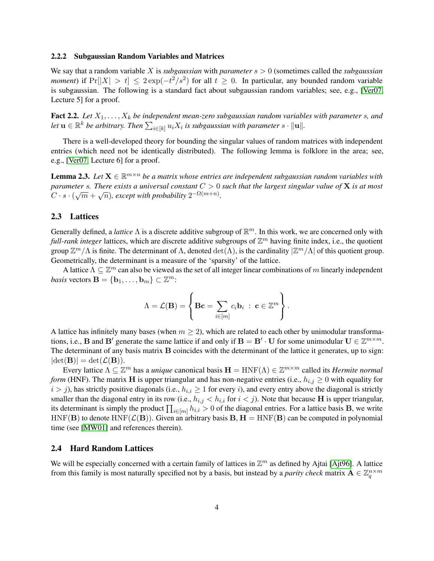#### 2.2.2 Subgaussian Random Variables and Matrices

We say that a random variable X is *subgaussian* with *parameter*  $s > 0$  (sometimes called the *subgaussian moment*) if  $Pr[|X| > t] \leq 2 exp(-t^2/s^2)$  for all  $t \geq 0$ . In particular, any bounded random variable is subgaussian. The following is a standard fact about subgaussian random variables; see, e.g., [\[Ver07,](#page-17-11) Lecture 5] for a proof.

<span id="page-4-1"></span>**Fact 2.2.** Let  $X_1, \ldots, X_k$  be independent mean-zero subgaussian random variables with parameter s, and Let  $\mathbf{u} \in \mathbb{R}^k$  be arbitrary. Then  $\sum_{i \in [k]} u_i X_i$  is subgaussian with parameter  $s \cdot \|\mathbf{u}\|.$ 

There is a well-developed theory for bounding the singular values of random matrices with independent entries (which need not be identically distributed). The following lemma is folklore in the area; see, e.g., [\[Ver07,](#page-17-11) Lecture 6] for a proof.

<span id="page-4-2"></span>**Lemma 2.3.** Let  $X \in \mathbb{R}^{m \times n}$  be a matrix whose entries are independent subgaussian random variables with *parameter* s*. There exists a universal constant* C > 0 *such that the largest singular value of* X *is at most* √ √  $C \cdot s \cdot (\sqrt{m} + \sqrt{n})$ , except with probability  $2^{-\Omega(m+n)}$ .

#### <span id="page-4-0"></span>2.3 Lattices

Generally defined, a *lattice*  $\Lambda$  is a discrete additive subgroup of  $\mathbb{R}^m$ . In this work, we are concerned only with *full-rank integer* lattices, which are discrete additive subgroups of  $\mathbb{Z}^m$  having finite index, i.e., the quotient group  $\mathbb{Z}^m/\Lambda$  is finite. The determinant of  $\Lambda$ , denoted  $\det(\Lambda)$ , is the cardinality  $|\mathbb{Z}^m/\Lambda|$  of this quotient group. Geometrically, the determinant is a measure of the 'sparsity' of the lattice.

A lattice  $\Lambda \subseteq \mathbb{Z}^m$  can also be viewed as the set of all integer linear combinations of m linearly independent *basis* vectors  $\mathbf{B} = \{ \mathbf{b}_1, \dots, \mathbf{b}_m \} \subset \mathbb{Z}^m$ :

$$
\Lambda = \mathcal{L}(\mathbf{B}) = \left\{ \mathbf{B} \mathbf{c} = \sum_{i \in [m]} c_i \mathbf{b}_i : \mathbf{c} \in \mathbb{Z}^m \right\}.
$$

A lattice has infinitely many bases (when  $m > 2$ ), which are related to each other by unimodular transformations, i.e., **B** and **B**' generate the same lattice if and only if  $B = B' \cdot U$  for some unimodular  $U \in \mathbb{Z}^{m \times m}$ . The determinant of any basis matrix B coincides with the determinant of the lattice it generates, up to sign:  $|\det(\mathbf{B})| = \det(\mathcal{L}(\mathbf{B})).$ 

Every lattice  $\Lambda \subseteq \mathbb{Z}^m$  has a *unique* canonical basis  $\mathbf{H} = \text{HNF}(\Lambda) \in \mathbb{Z}^{m \times m}$  called its *Hermite normal form* (HNF). The matrix **H** is upper triangular and has non-negative entries (i.e.,  $h_{i,j} \geq 0$  with equality for  $i > j$ ), has strictly positive diagonals (i.e.,  $h_{i,i} \geq 1$  for every i), and every entry above the diagonal is strictly smaller than the diagonal entry in its row (i.e.,  $h_{i,j} < h_{i,i}$  for  $i < j$ ). Note that because H is upper triangular, its determinant is simply the product  $\prod_{i\in[m]}h_{i,i} > 0$  of the diagonal entries. For a lattice basis **B**, we write  $HNF(B)$  to denote  $HNF(\mathcal{L}(B))$ . Given an arbitrary basis B,  $H = HNF(B)$  can be computed in polynomial time (see [\[MW01\]](#page-17-12) and references therein).

#### 2.4 Hard Random Lattices

We will be especially concerned with a certain family of lattices in  $\mathbb{Z}^m$  as defined by Ajtai [\[Ajt96\]](#page-16-0). A lattice from this family is most naturally specified not by a basis, but instead by a *parity check* matrix  $A \in \mathbb{Z}_q^{n \times m}$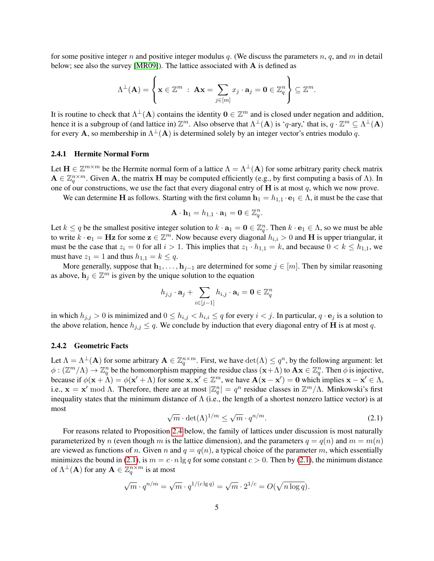for some positive integer n and positive integer modulus q. (We discuss the parameters  $n$ ,  $q$ , and  $m$  in detail below; see also the survey [\[MR09\]](#page-17-13)). The lattice associated with A is defined as

$$
\Lambda^{\perp}(\mathbf{A}) = \left\{ \mathbf{x} \in \mathbb{Z}^m \; : \; \mathbf{A}\mathbf{x} = \sum_{j \in [m]} x_j \cdot \mathbf{a}_j = \mathbf{0} \in \mathbb{Z}_q^n \right\} \subseteq \mathbb{Z}^m.
$$

It is routine to check that  $\Lambda^{\perp}(A)$  contains the identity  $0 \in \mathbb{Z}^m$  and is closed under negation and addition, hence it is a subgroup of (and lattice in)  $\mathbb{Z}^m$ . Also observe that  $\Lambda^{\perp}(A)$  is 'q-ary,' that is,  $q \cdot \mathbb{Z}^m \subseteq \Lambda^{\perp}(A)$ for every **A**, so membership in  $\Lambda^{\perp}(A)$  is determined solely by an integer vector's entries modulo q.

#### 2.4.1 Hermite Normal Form

Let  $\mathbf{H} \in \mathbb{Z}^{m \times m}$  be the Hermite normal form of a lattice  $\Lambda = \Lambda^{\perp}(\mathbf{A})$  for some arbitrary parity check matrix  $A \in \mathbb{Z}_q^{n \times m}$ . Given A, the matrix H may be computed efficiently (e.g., by first computing a basis of  $\Lambda$ ). In one of our constructions, we use the fact that every diagonal entry of  $H$  is at most  $q$ , which we now prove.

We can determine H as follows. Starting with the first column  $\mathbf{h}_1 = h_{1,1} \cdot \mathbf{e}_1 \in \Lambda$ , it must be the case that

$$
\mathbf{A}\cdot\mathbf{h}_1=h_{1,1}\cdot\mathbf{a}_1=\mathbf{0}\in\mathbb{Z}_q^n.
$$

Let  $k \le q$  be the smallest positive integer solution to  $k \cdot a_1 = 0 \in \mathbb{Z}_q^n$ . Then  $k \cdot e_1 \in \Lambda$ , so we must be able to write  $k \cdot \mathbf{e}_1 = \mathbf{Hz}$  for some  $\mathbf{z} \in \mathbb{Z}^m$ . Now because every diagonal  $h_{i,i} > 0$  and H is upper triangular, it must be the case that  $z_i = 0$  for all  $i > 1$ . This implies that  $z_1 \cdot h_{1,1} = k$ , and because  $0 < k \le h_{1,1}$ , we must have  $z_1 = 1$  and thus  $h_{1,1} = k \leq q$ .

More generally, suppose that  $h_1, \ldots, h_{i-1}$  are determined for some  $j \in [m]$ . Then by similar reasoning as above,  $h_j \in \mathbb{Z}^m$  is given by the unique solution to the equation

$$
h_{j,j} \cdot \mathbf{a}_j + \sum_{i \in [j-1]} h_{i,j} \cdot \mathbf{a}_i = \mathbf{0} \in \mathbb{Z}_q^n
$$

in which  $h_{j,j} > 0$  is minimized and  $0 \le h_{i,j} < h_{i,i} \le q$  for every  $i < j$ . In particular,  $q \cdot \mathbf{e}_j$  is a solution to the above relation, hence  $h_{j,j} \leq q$ . We conclude by induction that every diagonal entry of **H** is at most q.

#### 2.4.2 Geometric Facts

Let  $\Lambda = \Lambda^{\perp}(\mathbf{A})$  for some arbitrary  $\mathbf{A} \in \mathbb{Z}_q^{n \times m}$ . First, we have  $\det(\Lambda) \leq q^n$ , by the following argument: let  $\phi: (\mathbb{Z}^m/\Lambda) \to \mathbb{Z}_q^n$  be the homomorphism mapping the residue class  $(\mathbf{x}+\Lambda)$  to  $\mathbf{A}\mathbf{x} \in \mathbb{Z}_q^n$ . Then  $\phi$  is injective, because if  $\phi(\mathbf{x} + \Lambda) = \phi(\mathbf{x}' + \Lambda)$  for some  $\mathbf{x}, \mathbf{x}' \in \mathbb{Z}^m$ , we have  $\mathbf{A}(\mathbf{x} - \mathbf{x}') = \mathbf{0}$  which implies  $\mathbf{x} - \mathbf{x}' \in \Lambda$ , i.e.,  $\mathbf{x} = \mathbf{x}'$  mod  $\Lambda$ . Therefore, there are at most  $|\mathbb{Z}_q^n| = q^n$  residue classes in  $\mathbb{Z}^m/\Lambda$ . Minkowski's first inequality states that the minimum distance of  $\Lambda$  (i.e., the length of a shortest nonzero lattice vector) is at most √ √

$$
\sqrt{m} \cdot \det(\Lambda)^{1/m} \le \sqrt{m} \cdot q^{n/m}.\tag{2.1}
$$

<span id="page-5-0"></span>For reasons related to Proposition [2.4](#page-6-0) below, the family of lattices under discussion is most naturally parameterized by n (even though m is the lattice dimension), and the parameters  $q = q(n)$  and  $m = m(n)$ are viewed as functions of n. Given n and  $q = q(n)$ , a typical choice of the parameter m, which essentially minimizes the bound in [\(2.1\)](#page-5-0), is  $m = c \cdot n \lg q$  for some constant  $c > 0$ . Then by (2.1), the minimum distance of  $\Lambda^{\perp}(\mathbf{A})$  for any  $\mathbf{A}\in\mathbb{Z}_q^{n\times m}$  is at most

$$
\sqrt{m} \cdot q^{n/m} = \sqrt{m} \cdot q^{1/(c \lg q)} = \sqrt{m} \cdot 2^{1/c} = O(\sqrt{n \log q}).
$$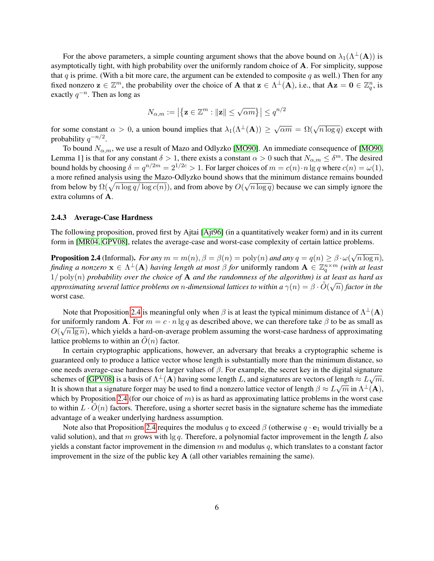For the above parameters, a simple counting argument shows that the above bound on  $\lambda_1(\Lambda^{\perp}(A))$  is asymptotically tight, with high probability over the uniformly random choice of A. For simplicity, suppose that  $q$  is prime. (With a bit more care, the argument can be extended to composite  $q$  as well.) Then for any fixed nonzero  $z \in \mathbb{Z}^m$ , the probability over the choice of A that  $z \in \Lambda^{\perp}(A)$ , i.e., that  $Az = 0 \in \mathbb{Z}_q^n$ , is exactly  $q^{-n}$ . Then as long as

$$
N_{\alpha,m}:=\left|\left\{\mathbf{z}\in\mathbb{Z}^m: \|\mathbf{z}\|\leq \sqrt{\alpha m}\right\}\right|\leq q^{n/2}
$$

for some constant  $\alpha > 0$ , a union bound implies that  $\lambda_1(\Lambda^{\perp}(A)) \geq \sqrt{\alpha m} = \Omega(\sqrt{n \log q})$  except with probability  $q^{-n/2}$ .

To bound  $N_{\alpha,m}$ , we use a result of Mazo and Odlyzko [\[MO90\]](#page-17-14). An immediate consequence of [\[MO90,](#page-17-14) Lemma 1] is that for any constant  $\delta > 1$ , there exists a constant  $\alpha > 0$  such that  $N_{\alpha,m} \leq \delta^m$ . The desired bound holds by choosing  $\delta = q^{n/2m} = 2^{1/2c} > 1$ . For larger choices of  $m = c(n) \cdot n \lg q$  where  $c(n) = \omega(1)$ , a more refined analysis using the Mazo-Odlyzko bound shows that the minimum distance remains bounded from below by  $\Omega(\sqrt{n \log q / \log c(n)})$ , and from above by  $O(\sqrt{n \log q})$  because we can simply ignore the extra columns of A.

### 2.4.3 Average-Case Hardness

The following proposition, proved first by Ajtai [\[Ajt96\]](#page-16-0) (in a quantitatively weaker form) and in its current form in [\[MR04,](#page-17-1) [GPV08\]](#page-16-2), relates the average-case and worst-case complexity of certain lattice problems.

<span id="page-6-0"></span>**Proposition 2.4** (Informal). *For any*  $m = m(n)$ ,  $\beta = \beta(n) = \text{poly}(n)$  *and any*  $q = q(n) \ge \beta \cdot \omega(n)$ √  $\overline{n \log n}$ ), *finding a nonzero*  $x \in \Lambda^{\perp}(A)$  *having length at most*  $\beta$  *for* uniformly random  $A \in \mathbb{Z}_q^{n \times m}$  (with at least  $1/\text{poly}(n)$  *probability over the choice of* **A** *and the randomness of the algorithm) is at least as hard as*<br> $\frac{1}{2}$  $a$ pproximating several lattice problems on  $n$ -dimensional lattices to within a  $\gamma(n)=\beta\cdot \tilde{O}(\sqrt{n})$  factor in the worst case*.*

Note that Proposition [2.4](#page-6-0) is meaningful only when  $\beta$  is at least the typical minimum distance of  $\Lambda^{\perp}(A)$ for uniformly random **A**. For  $m = c \cdot n \lg q$  as described above, we can therefore take  $\beta$  to be as small as  $O(\sqrt{n \lg n})$ , which yields a hard-on-average problem assuming the worst-case hardness of approximating lattice problems to within an  $\tilde{O}(n)$  factor.

In certain cryptographic applications, however, an adversary that breaks a cryptographic scheme is guaranteed only to produce a lattice vector whose length is substantially more than the minimum distance, so one needs average-case hardness for larger values of  $\beta$ . For example, the secret key in the digital signature schemes of [\[GPV08\]](#page-16-2) is a basis of  $\Lambda^{\perp}(A)$  having some length L, and signatures are vectors of length  $\approx L\sqrt{m}$ . It is shown that a signature forger may be used to find a nonzero lattice vector of length  $\beta \approx L\sqrt{m}$  in  $\Lambda^{\perp}(A)$ , which by Proposition [2.4](#page-6-0) (for our choice of  $m$ ) is as hard as approximating lattice problems in the worst case to within  $L \cdot O(n)$  factors. Therefore, using a shorter secret basis in the signature scheme has the immediate advantage of a weaker underlying hardness assumption.

Note also that Proposition [2.4](#page-6-0) requires the modulus q to exceed  $\beta$  (otherwise  $q \cdot e_1$  would trivially be a valid solution), and that m grows with  $\lg q$ . Therefore, a polynomial factor improvement in the length L also yields a constant factor improvement in the dimension m and modulus q, which translates to a constant factor improvement in the size of the public key A (all other variables remaining the same).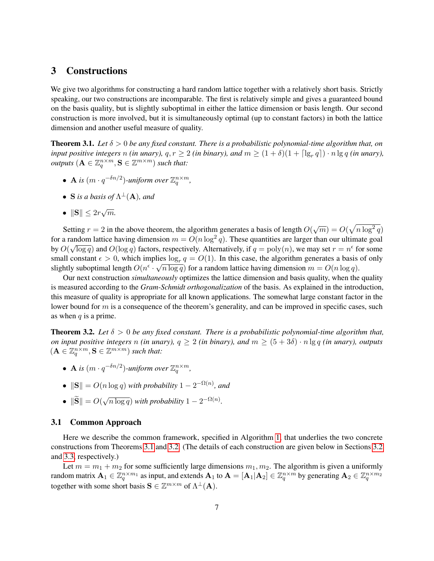# <span id="page-7-0"></span>3 Constructions

We give two algorithms for constructing a hard random lattice together with a relatively short basis. Strictly speaking, our two constructions are incomparable. The first is relatively simple and gives a guaranteed bound on the basis quality, but is slightly suboptimal in either the lattice dimension or basis length. Our second construction is more involved, but it is simultaneously optimal (up to constant factors) in both the lattice dimension and another useful measure of quality.

<span id="page-7-1"></span>**Theorem 3.1.** Let  $\delta > 0$  be any fixed constant. There is a probabilistic polynomial-time algorithm that, on *input positive integers* n *(in unary),*  $q, r \ge 2$  *(in binary), and*  $m \ge (1 + \delta)(1 + \lceil \lg_r q \rceil) \cdot n \lg q$  *(in unary), outputs*  $(\mathbf{A} \in \mathbb{Z}_q^{n \times m}, \mathbf{S} \in \mathbb{Z}^{m \times m})$  *such that:* 

- **A** is  $(m \cdot q^{-\delta n/2})$ -uniform over  $\mathbb{Z}_q^{n \times m}$ ,
- S is a basis of  $\Lambda^{\perp}(\mathbf{A})$ , and
- $\|\mathbf{S}\| \leq 2r\sqrt{m}$ .

Setting  $r = 2$  in the above theorem, the algorithm generates a basis of length  $O(\sqrt{m}) = O(\sqrt{n \log^2 q})$ for a random lattice having dimension  $m = O(n \log^2 q)$ . These quantities are larger than our ultimate goal by  $O(\sqrt{\log q})$  and  $O(\log q)$  factors, respectively. Alternatively, if  $q = \text{poly}(n)$ , we may set  $r = n^{\epsilon}$  for some small constant  $\epsilon > 0$ , which implies  $\log_{r} q = O(1)$ . In this case, the algorithm generates a basis of only slightly suboptimal length  $O(n^{\epsilon} \cdot \sqrt{n \log q})$  for a random lattice having dimension  $m = O(n \log q)$ .

Our next construction *simultaneously* optimizes the lattice dimension and basis quality, when the quality is measured according to the *Gram-Schmidt orthogonalization* of the basis. As explained in the introduction, this measure of quality is appropriate for all known applications. The somewhat large constant factor in the lower bound for  $m$  is a consequence of the theorem's generality, and can be improved in specific cases, such as when  $q$  is a prime.

<span id="page-7-2"></span>**Theorem 3.2.** Let  $\delta > 0$  be any fixed constant. There is a probabilistic polynomial-time algorithm that, *on input positive integers* n *(in unary),*  $q \geq 2$  *(in binary), and*  $m \geq (5 + 3\delta) \cdot n \lg q$  *(in unary), outputs*  $(\mathbf{A} \in \mathbb{Z}_q^{n \times m}, \mathbf{S} \in \mathbb{Z}^{m \times m})$  *such that:* 

- **A** is  $(m \cdot q^{-\delta n/2})$ -uniform over  $\mathbb{Z}_q^{n \times m}$ ,
- $\|\mathbf{S}\| = O(n \log q)$  *with probability*  $1 2^{-\Omega(n)}$ *, and*
- $\|\mathbf{S}\| = O(\mathbf{S})$ √  $\overline{n \log q}$ ) *with probability*  $1 - 2^{-\Omega(n)}$ .

### 3.1 Common Approach

Here we describe the common framework, specified in Algorithm [1,](#page-8-0) that underlies the two concrete constructions from Theorems [3.1](#page-7-1) and [3.2.](#page-7-2) (The details of each construction are given below in Sections [3.2](#page-10-0) and [3.3,](#page-12-0) respectively.)

Let  $m = m_1 + m_2$  for some sufficiently large dimensions  $m_1, m_2$ . The algorithm is given a uniformly random matrix  $\mathbf{A}_1 \in \mathbb{Z}_q^{n \times m_1}$  as input, and extends  $\mathbf{A}_1$  to  $\mathbf{A} = [\mathbf{A}_1 | \mathbf{A}_2] \in \mathbb{Z}_q^{n \times m}$  by generating  $\mathbf{A}_2 \in \mathbb{Z}_q^{n \times m_2}$ together with some short basis  $S \in \mathbb{Z}^{m \times m}$  of  $\Lambda^{\perp}(A)$ .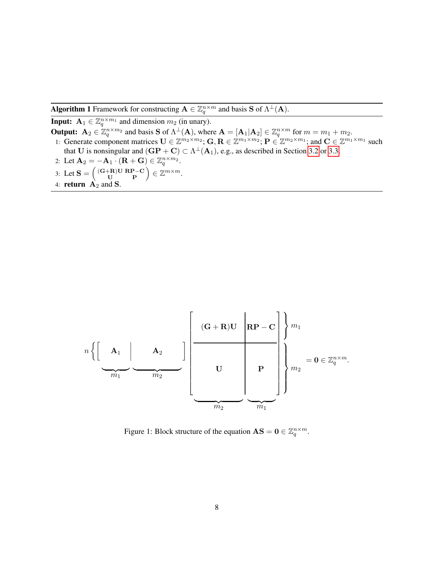**Algorithm 1** Framework for constructing  $A \in \mathbb{Z}_q^{n \times m}$  and basis S of  $\Lambda^{\perp}(A)$ .

<span id="page-8-2"></span><span id="page-8-0"></span>**Input:**  $A_1 \in \mathbb{Z}_q^{n \times m_1}$  and dimension  $m_2$  (in unary). **Output:**  $A_2 \in \mathbb{Z}_q^{n \times m_2}$  and basis **S** of  $\Lambda^{\perp}(A)$ , where  $A = [A_1 | A_2] \in \mathbb{Z}_q^{n \times m}$  for  $m = m_1 + m_2$ . 1: Generate component matrices  $\mathbf{U} \in \mathbb{Z}^{m_2 \times m_2}$ ;  $\mathbf{G}, \mathbf{R} \in \mathbb{Z}^{m_1 \times m_2}$ ;  $\mathbf{P} \in \mathbb{Z}^{m_2 \times m_1}$ ; and  $\mathbf{C} \in \mathbb{Z}^{m_1 \times m_1}$  such that U is nonsingular and  $(\mathbf{GP} + \mathbf{C}) \subset \Lambda^{\perp}(\mathbf{A}_1)$ , e.g., as described in Section [3.2](#page-10-0) or [3.3.](#page-12-0) 2: Let  $\mathbf{A}_2 = -\mathbf{A}_1 \cdot (\mathbf{R} + \mathbf{G}) \in \mathbb{Z}_q^{n \times m_2}$ .

- <span id="page-8-4"></span><span id="page-8-3"></span>3: Let  $\mathbf{S} = \begin{pmatrix} (\mathbf{G} + \mathbf{R}) \mathbf{U} & \mathbf{R} \mathbf{P} - \mathbf{C} \\ \mathbf{U} & \mathbf{P} \end{pmatrix} \in \mathbb{Z}^{m \times m}$ .
- 4: **return**  $A_2$  and **S**.



<span id="page-8-1"></span>Figure 1: Block structure of the equation  $AS = 0 \in \mathbb{Z}_q^{n \times m}$ .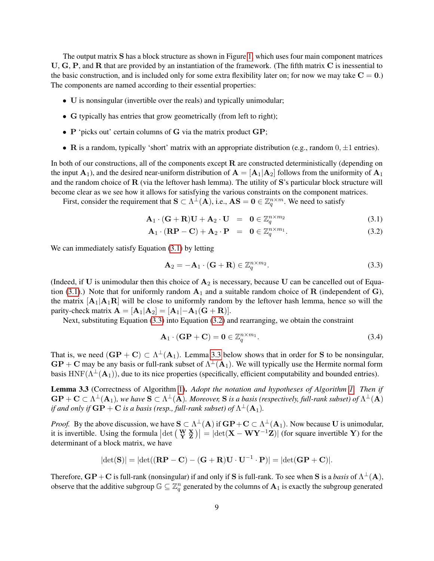The output matrix S has a block structure as shown in Figure [1,](#page-8-1) which uses four main component matrices U, G, P, and R that are provided by an instantiation of the framework. (The fifth matrix C is inessential to the basic construction, and is included only for some extra flexibility later on; for now we may take  $C = 0$ .) The components are named according to their essential properties:

- U is nonsingular (invertible over the reals) and typically unimodular;
- G typically has entries that grow geometrically (from left to right);
- P 'picks out' certain columns of G via the matrix product GP;
- R is a random, typically 'short' matrix with an appropriate distribution (e.g., random  $0, \pm 1$  entries).

In both of our constructions, all of the components except  $\bf{R}$  are constructed deterministically (depending on the input  $\mathbf{A}_1$ ), and the desired near-uniform distribution of  $\mathbf{A} = [\mathbf{A}_1 | \mathbf{A}_2]$  follows from the uniformity of  $\mathbf{A}_1$ and the random choice of  $\bf R$  (via the leftover hash lemma). The utility of  $\bf S$ 's particular block structure will become clear as we see how it allows for satisfying the various constraints on the component matrices.

First, consider the requirement that  $S \subset \Lambda^{\perp}(A)$ , i.e.,  $AS = 0 \in \mathbb{Z}_q^{n \times m}$ . We need to satisfy

$$
\mathbf{A}_1 \cdot (\mathbf{G} + \mathbf{R}) \mathbf{U} + \mathbf{A}_2 \cdot \mathbf{U} = \mathbf{0} \in \mathbb{Z}_q^{n \times m_2}
$$
 (3.1)

<span id="page-9-0"></span>
$$
\mathbf{A}_1 \cdot (\mathbf{RP} - \mathbf{C}) + \mathbf{A}_2 \cdot \mathbf{P} = \mathbf{0} \in \mathbb{Z}_q^{n \times m_1}.
$$
 (3.2)

We can immediately satisfy Equation [\(3.1\)](#page-9-0) by letting

<span id="page-9-1"></span>
$$
\mathbf{A}_2 = -\mathbf{A}_1 \cdot (\mathbf{G} + \mathbf{R}) \in \mathbb{Z}_q^{n \times m_2}.
$$
 (3.3)

(Indeed, if  $U$  is unimodular then this choice of  $A_2$  is necessary, because  $U$  can be cancelled out of Equa-tion [\(3.1\)](#page-9-0).) Note that for uniformly random  $A_1$  and a suitable random choice of R (independent of G), the matrix  $[A_1|A_1R]$  will be close to uniformly random by the leftover hash lemma, hence so will the parity-check matrix  $\mathbf{A} = [\mathbf{A}_1 | \mathbf{A}_2] = [\mathbf{A}_1 | -\mathbf{A}_1 (\mathbf{G} + \mathbf{R})].$ 

Next, substituting Equation [\(3.3\)](#page-9-1) into Equation [\(3.2\)](#page-9-0) and rearranging, we obtain the constraint

$$
\mathbf{A}_1 \cdot (\mathbf{GP} + \mathbf{C}) = \mathbf{0} \in \mathbb{Z}_q^{n \times m_1}.
$$

That is, we need  $(\mathbf{GP} + \mathbf{C}) \subset \Lambda^{\perp}(\mathbf{A}_1)$ . Lemma [3.3](#page-9-2) below shows that in order for S to be nonsingular,  $\text{GP} + \text{C}$  may be any basis or full-rank subset of  $\Lambda^{\perp}(\text{A}_1)$ . We will typically use the Hermite normal form basis HNF( $\Lambda^{\perp}(A_1)$ ), due to its nice properties (specifically, efficient computability and bounded entries).

<span id="page-9-2"></span>Lemma 3.3 (Correctness of Algorithm [1\)](#page-8-0). *Adopt the notation and hypotheses of Algorithm [1.](#page-8-0) Then if*  $GP + C \subset \Lambda^{\perp}(A_1)$ , we have  $S \subset \Lambda^{\perp}(A)$ . Moreover, S is a basis (respectively, full-rank subset) of  $\Lambda^{\perp}(A)$ if and only if  $\mathbf{G}\mathbf{P}+\mathbf{C}$  is a basis (resp., full-rank subset) of  $\Lambda^\perp(\mathbf{A}_1)$ .

*Proof.* By the above discussion, we have  $S \subset \Lambda^{\perp}(A)$  if  $\mathbf{G}P + \mathbf{C} \subset \Lambda^{\perp}(A_1)$ . Now because U is unimodular, it is invertible. Using the formula  $\left|\det\left(\begin{array}{cc} W & X \\ Y & Z \end{array}\right)\right| = \left|\det(X - WY^{-1}Z)\right|$  (for square invertible Y) for the determinant of a block matrix, we have

$$
|\mathrm{det}(\mathbf{S})|=|\mathrm{det}((\mathbf{R}\mathbf{P}-\mathbf{C})-(\mathbf{G}+\mathbf{R})\mathbf{U}\cdot\mathbf{U}^{-1}\cdot\mathbf{P})|=|\mathrm{det}(\mathbf{G}\mathbf{P}+\mathbf{C})|.
$$

Therefore,  $\bf{G}P+C$  is full-rank (nonsingular) if and only if  $\bf{S}$  is full-rank. To see when  $\bf{S}$  is a *basis* of  $\Lambda^{\perp}( \bf{A})$ , observe that the additive subgroup  $\mathbb{G} \subseteq \mathbb{Z}_q^n$  generated by the columns of  $\mathbf{A}_1$  is exactly the subgroup generated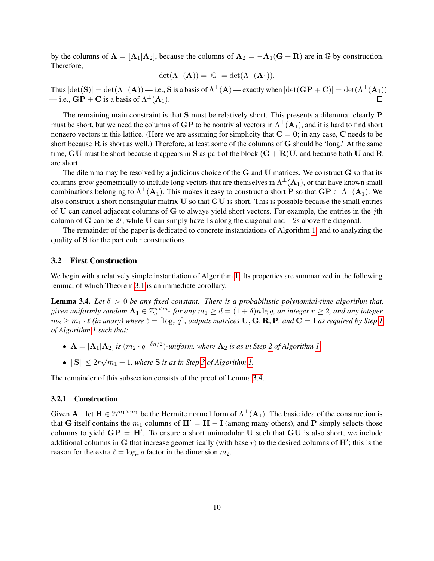by the columns of  $A = [A_1|A_2]$ , because the columns of  $A_2 = -A_1(G + R)$  are in G by construction. Therefore,

$$
\det(\Lambda^{\perp}(\mathbf{A})) = |\mathbb{G}| = \det(\Lambda^{\perp}(\mathbf{A}_1)).
$$

Thus  $|\text{det}(\mathbf{S})| = \text{det}(\Lambda^{\perp}(\mathbf{A}))$  — i.e.,  $\mathbf{S}$  is a basis of  $\Lambda^{\perp}(\mathbf{A})$  — exactly when  $|\text{det}(\mathbf{G}\mathbf{P}+\mathbf{C})| = \text{det}(\Lambda^{\perp}(\mathbf{A}_1))$ — i.e.,  $\mathbf{G} \mathbf{P} + \mathbf{C}$  is a basis of  $\Lambda^{\perp}(\mathbf{A}_1)$ .

The remaining main constraint is that S must be relatively short. This presents a dilemma: clearly P must be short, but we need the columns of  $\bf GP$  to be nontrivial vectors in  $\Lambda^\perp({\bf A}_1),$  and it is hard to find short nonzero vectors in this lattice. (Here we are assuming for simplicity that  $C = 0$ ; in any case, C needs to be short because  $R$  is short as well.) Therefore, at least some of the columns of  $G$  should be 'long.' At the same time, GU must be short because it appears in S as part of the block  $(G + R)U$ , and because both U and R are short.

The dilemma may be resolved by a judicious choice of the G and U matrices. We construct G so that its columns grow geometrically to include long vectors that are themselves in  $\Lambda^\perp({\bf A}_1)$ , or that have known small combinations belonging to  $\Lambda^\perp({\bf A}_1)$ . This makes it easy to construct a short  ${\bf P}$  so that  ${\bf GP}\subset\Lambda^\perp({\bf A}_1).$  We also construct a short nonsingular matrix U so that GU is short. This is possible because the small entries of U can cancel adjacent columns of G to always yield short vectors. For example, the entries in the  $j$ th column of G can be  $2^j$ , while U can simply have 1s along the diagonal and  $-2s$  above the diagonal.

The remainder of the paper is dedicated to concrete instantiations of Algorithm [1,](#page-8-0) and to analyzing the quality of S for the particular constructions.

### <span id="page-10-0"></span>3.2 First Construction

We begin with a relatively simple instantiation of Algorithm [1.](#page-8-0) Its properties are summarized in the following lemma, of which Theorem [3.1](#page-7-1) is an immediate corollary.

<span id="page-10-1"></span>**Lemma 3.4.** Let  $\delta > 0$  be any fixed constant. There is a probabilistic polynomial-time algorithm that, given uniformly random  $\mathbf{A}_1\in \mathbb{Z}_q^{n\times m_1}$  for any  $m_1\geq d=(1+\delta)n\lg q$ , an integer  $r\geq 2$ , and any integer  $m_2 \geq m_1 \cdot \ell$  (in unary) where  $\ell = \lceil \log_r q \rceil$ , outputs matrices  $\bf{U}, \bf{G}, \bf{R}, \bf{P}$ , and  $\bf{C} = \bf{I}$  as required by Step [1](#page-8-2) *of Algorithm [1](#page-8-0) such that:*

- $A = [A_1 | A_2]$  *is*  $(m_2 \cdot q^{-\delta n/2})$ -uniform, where  $A_2$  *is as in Step [2](#page-8-3) of Algorithm [1.](#page-8-0)*
- $\|\mathbf{S}\| \leq 2r$ √  $\overline{m_1 + 1}$ , where **S** is as in Step [3](#page-8-4) of Algorithm [1.](#page-8-0)

The remainder of this subsection consists of the proof of Lemma [3.4.](#page-10-1)

### 3.2.1 Construction

Given  $A_1$ , let  $H \in \mathbb{Z}^{m_1 \times m_1}$  be the Hermite normal form of  $\Lambda^{\perp}(A_1)$ . The basic idea of the construction is that G itself contains the  $m_1$  columns of  $H' = H - I$  (among many others), and P simply selects those columns to yield  $\mathbf{G} \mathbf{P} = \mathbf{H}'$ . To ensure a short unimodular U such that  $\mathbf{G} \mathbf{U}$  is also short, we include additional columns in G that increase geometrically (with base  $r$ ) to the desired columns of  $H'$ ; this is the reason for the extra  $\ell = \log_r q$  factor in the dimension  $m_2$ .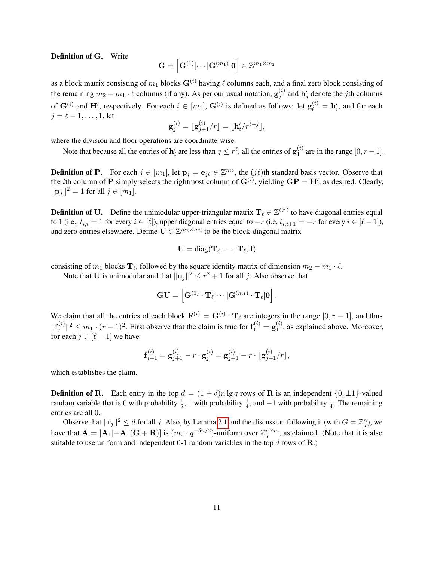Definition of G. Write

$$
\mathbf{G} = \left[\mathbf{G}^{(1)}|\!\cdots\!|\mathbf{G}^{(m_1)}|\mathbf{0}\right] \in \mathbb{Z}^{m_1 \times m_2}
$$

as a block matrix consisting of  $m_1$  blocks  $G^{(i)}$  having  $\ell$  columns each, and a final zero block consisting of the remaining  $m_2 - m_1 \cdot \ell$  columns (if any). As per our usual notation,  $\mathbf{g}_i^{(i)}$  $j^{(i)}$  and  $h'_j$  denote the *j*th columns of  $G^{(i)}$  and H', respectively. For each  $i \in [m_1]$ ,  $G^{(i)}$  is defined as follows: let  $g_{\ell}^{(i)} = h'_i$ , and for each  $j = \ell - 1, \ldots, 1$ , let  $\lambda$ 

$$
\mathbf{g}_j^{(i)} = \lfloor \mathbf{g}_{j+1}^{(i)}/r \rfloor = \lfloor \mathbf{h}_i'/r^{\ell-j} \rfloor,
$$

where the division and floor operations are coordinate-wise.

Note that because all the entries of  $\mathbf{h}'_i$  are less than  $q \leq r^{\ell}$ , all the entries of  $\mathbf{g}_1^{(i)}$  $_1^{(i)}$  are in the range  $[0, r-1]$ .

**Definition of P.** For each  $j \in [m_1]$ , let  $\mathbf{p}_j = \mathbf{e}_{j\ell} \in \mathbb{Z}^{m_2}$ , the  $(j\ell)$ th standard basis vector. Observe that the *i*th column of **P** simply selects the rightmost column of  $G^{(i)}$ , yielding  $GP = H'$ , as desired. Clearly,  $||\mathbf{p}_j||^2 = 1$  for all  $j \in [m_1]$ .

**Definition of U.** Define the unimodular upper-triangular matrix  $T_\ell \in \mathbb{Z}^{\ell \times \ell}$  to have diagonal entries equal to 1 (i.e.,  $t_{i,i} = 1$  for every  $i \in [\ell]$ ), upper diagonal entries equal to  $-r$  (i.e,  $t_{i,i+1} = -r$  for every  $i \in [\ell - 1]$ ), and zero entries elsewhere. Define  $\mathbf{U} \in \mathbb{Z}^{m_2 \times m_2}$  to be the block-diagonal matrix

$$
\mathbf{U} = \text{diag}(\mathbf{T}_{\ell},\ldots,\mathbf{T}_{\ell},\mathbf{I})
$$

consisting of  $m_1$  blocks  $\mathbf{T}_\ell$ , followed by the square identity matrix of dimension  $m_2 - m_1 \cdot \ell$ .

Note that **U** is unimodular and that  $\|\mathbf{u}_j\|^2 \le r^2 + 1$  for all j. Also observe that

$$
\mathbf{GU} = \left[\mathbf{G}^{(1)}\cdot\mathbf{T}_{\ell}|\cdots|\mathbf{G}^{(m_1)}\cdot\mathbf{T}_{\ell}|\mathbf{0}\right].
$$

We claim that all the entries of each block  $F^{(i)} = G^{(i)} \cdot T_\ell$  are integers in the range  $[0, r - 1]$ , and thus  $\|\mathbf{f}^{(i)}_i\|$  $\|y^{(i)}\|^2 \le m_1 \cdot (r-1)^2$ . First observe that the claim is true for  $\mathbf{f}_1^{(i)} = \mathbf{g}_1^{(i)}$  $1^{(i)}$ , as explained above. Moreover, for each  $j \in [\ell - 1]$  we have

$$
\mathbf{f}_{j+1}^{(i)} = \mathbf{g}_{j+1}^{(i)} - r \cdot \mathbf{g}_j^{(i)} = \mathbf{g}_{j+1}^{(i)} - r \cdot \lfloor \mathbf{g}_{j+1}^{(i)}/r \rfloor,
$$

which establishes the claim.

**Definition of R.** Each entry in the top  $d = (1 + \delta)n \lg q$  rows of **R** is an independent  $\{0, \pm 1\}$ -valued random variable that is 0 with probability  $\frac{1}{2}$ , 1 with probability  $\frac{1}{4}$ , and  $-1$  with probability  $\frac{1}{4}$ . The remaining entries are all 0.

Observe that  $\|\mathbf{r}_j\|^2 \le d$  for all j. Also, by Lemma [2.1](#page-3-0) and the discussion following it (with  $G = \mathbb{Z}_q^n$ ), we have that  $\mathbf{A} = [\mathbf{A}_1 | -\mathbf{A}_1 (\mathbf{G} + \mathbf{R})]$  is  $(m_2 \cdot q^{-\delta n/2})$ -uniform over  $\mathbb{Z}_q^{n \times m}$ , as claimed. (Note that it is also suitable to use uniform and independent  $0-1$  random variables in the top d rows of **R**.)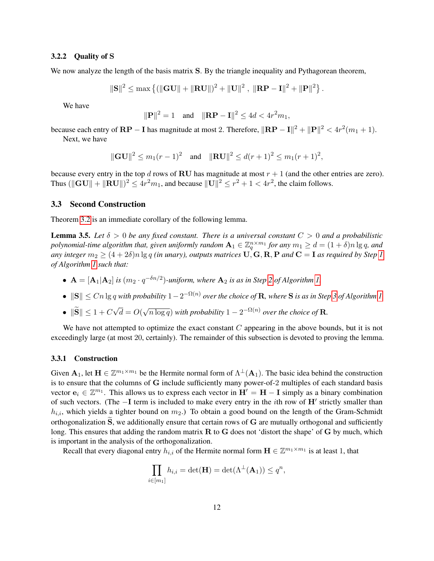#### 3.2.2 Quality of S

We now analyze the length of the basis matrix S. By the triangle inequality and Pythagorean theorem,

$$
\|\mathbf{S}\|^2 \leq \max \left\{ (\|\mathbf{G}\mathbf{U}\| + \|\mathbf{R}\mathbf{U}\|)^2 + \|\mathbf{U}\|^2 \;,\; \|\mathbf{R}\mathbf{P} - \mathbf{I}\|^2 + \|\mathbf{P}\|^2 \right\}.
$$

We have

$$
||\mathbf{P}||^2 = 1
$$
 and  $||\mathbf{R}\mathbf{P} - \mathbf{I}||^2 \le 4d < 4r^2m_1$ ,

because each entry of  $\bf RP-I$  has magnitude at most 2. Therefore,  $\|\bf RP-I\|^2 + \|\bf P\|^2 < 4r^2(m_1+1)$ .

Next, we have

$$
\|\mathbf{GU}\|^2 \le m_1(r-1)^2 \quad \text{and} \quad \|\mathbf{RU}\|^2 \le d(r+1)^2 \le m_1(r+1)^2,
$$

because every entry in the top d rows of RU has magnitude at most  $r + 1$  (and the other entries are zero). Thus  $(\|\mathbf{G}\mathbf{U}\| + \|\mathbf{R}\mathbf{U}\|)^2 \le 4r^2m_1$ , and because  $\|\mathbf{U}\|^2 \le r^2 + 1 < 4r^2$ , the claim follows.

### <span id="page-12-0"></span>3.3 Second Construction

<span id="page-12-1"></span>Theorem [3.2](#page-7-2) is an immediate corollary of the following lemma.

**Lemma 3.5.** Let  $\delta > 0$  be any fixed constant. There is a universal constant  $C > 0$  and a probabilistic polynomial-time algorithm that, given uniformly random  $\mathbf{A}_1\in \mathbb{Z}_q^{n\times m_1}$  for any  $m_1\geq d=(1+\delta)n\lg q$ , and *any integer*  $m_2 \geq (4+2\delta)n \lg q$  *(in unary), outputs matrices*  $\mathbf{U}, \mathbf{G}, \mathbf{R}, \mathbf{P}$  *and*  $\mathbf{C} = \mathbf{I}$  *as required by Step [1](#page-8-2) of Algorithm [1](#page-8-0) such that:*

- $A = [A_1 | A_2]$  *is*  $(m_2 \cdot q^{-\delta n/2})$ -uniform, where  $A_2$  *is as in Step [2](#page-8-3) of Algorithm [1.](#page-8-0)*
- $\bullet$   $||S||$  ≤ Cn lg q with probability  $1-2^{-\Omega(n)}$  over the choice of R, where S is as in Step [3](#page-8-4) of Algorithm [1.](#page-8-0)
- $||S|| \le 1 + C$ √  $d = O($ √  $\overline{n \log q}$ ) with probability  $1 - 2^{-\Omega(n)}$  over the choice of **R**.

We have not attempted to optimize the exact constant  $C$  appearing in the above bounds, but it is not exceedingly large (at most 20, certainly). The remainder of this subsection is devoted to proving the lemma.

#### 3.3.1 Construction

Given  $A_1$ , let  $H \in \mathbb{Z}^{m_1 \times m_1}$  be the Hermite normal form of  $\Lambda^{\perp}(A_1)$ . The basic idea behind the construction is to ensure that the columns of G include sufficiently many power-of-2 multiples of each standard basis vector  $\mathbf{e}_i \in \mathbb{Z}^{m_1}$ . This allows us to express each vector in  $\mathbf{H}' = \mathbf{H} - \mathbf{I}$  simply as a binary combination of such vectors. (The -I term is included to make every entry in the *i*th row of H' strictly smaller than  $h_{i,i}$ , which yields a tighter bound on  $m_2$ .) To obtain a good bound on the length of the Gram-Schmidt orthogonalization  $\tilde{S}$ , we additionally ensure that certain rows of  $G$  are mutually orthogonal and sufficiently long. This ensures that adding the random matrix R to G does not 'distort the shape' of G by much, which is important in the analysis of the orthogonalization.

Recall that every diagonal entry  $h_{i,i}$  of the Hermite normal form  $\mathbf{H} \in \mathbb{Z}^{m_1 \times m_1}$  is at least 1, that

$$
\prod_{i\in[m_1]} h_{i,i} = \det(\mathbf{H}) = \det(\Lambda^{\perp}(\mathbf{A}_1)) \le q^n,
$$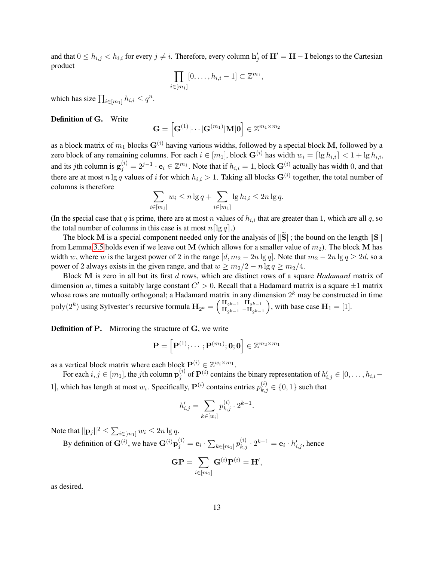and that  $0 \le h_{i,j} < h_{i,i}$  for every  $j \ne i$ . Therefore, every column  $h'_j$  of  $H' = H - I$  belongs to the Cartesian product

$$
\prod_{i\in[m_1]}[0,\ldots,h_{i,i}-1]\subset\mathbb{Z}^{m_1},
$$

which has size  $\prod_{i \in [m_1]} h_{i,i} \leq q^n$ .

### Definition of G. Write

$$
\mathbf{G} = \left[\mathbf{G}^{(1)}|\cdots|\mathbf{G}^{(m_1)}|\mathbf{M}|\mathbf{0}\right] \in \mathbb{Z}^{m_1 \times m_2}
$$

as a block matrix of  $m_1$  blocks  $G^{(i)}$  having various widths, followed by a special block M, followed by a zero block of any remaining columns. For each  $i \in [m_1]$ , block  $\mathbf{G}^{(i)}$  has width  $w_i = \lceil \lg h_{i,i} \rceil < 1 + \lg h_{i,i}$ , and its jth column is  $\mathbf{g}_j^{(i)} = 2^{j-1} \cdot \mathbf{e}_i \in \mathbb{Z}^{m_1}$ . Note that if  $h_{i,i} = 1$ , block  $\mathbf{G}^{(i)}$  actually has width 0, and that there are at most  $n \lg q$  values of i for which  $h_{i,i} > 1$ . Taking all blocks  $\mathbf{G}^{(i)}$  together, the total number of columns is therefore

$$
\sum_{i \in [m_1]} w_i \le n \lg q + \sum_{i \in [m_1]} \lg h_{i,i} \le 2n \lg q.
$$

(In the special case that q is prime, there are at most n values of  $h_{i,i}$  that are greater than 1, which are all q, so the total number of columns in this case is at most  $n\lceil \lg q \rceil$ .)

The block M is a special component needed only for the analysis of  $\|\mathbf{S}\|$ ; the bound on the length  $\|\mathbf{S}\|$ from Lemma [3.5](#page-12-1) holds even if we leave out M (which allows for a smaller value of  $m_2$ ). The block M has width w, where w is the largest power of 2 in the range  $[d, m_2 - 2n \lg q]$ . Note that  $m_2 - 2n \lg q \ge 2d$ , so a power of 2 always exists in the given range, and that  $w \ge m_2/2 - n \lg q \ge m_2/4$ .

Block M is zero in all but its first d rows, which are distinct rows of a square *Hadamard* matrix of dimension w, times a suitably large constant  $C' > 0$ . Recall that a Hadamard matrix is a square  $\pm 1$  matrix whose rows are mutually orthogonal; a Hadamard matrix in any dimension  $2^k$  may be constructed in time  $\text{poly}(2^k)$  using Sylvester's recursive formula  $\mathbf{H}_{2^k} = \begin{pmatrix} \mathbf{H}_{2^{k-1}} & \mathbf{H}_{2^{k-1}} \\ \mathbf{H}_{2^{k-1}} & -\mathbf{H}_{2^{k-1}} \end{pmatrix}$  $H_{2^{k-1}} - H_{2^{k-1}}$ ), with base case  $H_1 = [1]$ .

**Definition of P.** Mirroring the structure of G, we write

$$
\mathbf{P} = \left[\mathbf{P}^{(1)};\cdots;\mathbf{P}^{(m_1)};\mathbf{0};\mathbf{0}\right] \in \mathbb{Z}^{m_2 \times m_1}
$$

as a vertical block matrix where each block  $\mathbf{P}^{(i)} \in \mathbb{Z}^{w_i \times m_1}$ .

For each  $i, j \in [m_1]$ , the  $j$ th column  $\mathbf{p}_i^{(i)}$  $j^{(i)}$  of  $\mathbf{P}^{(i)}$  contains the binary representation of  $h'_{i,j} \in [0, \ldots, h_{i,i} - 1]$ 1], which has length at most  $w_i$ . Specifically,  $\mathbf{P}^{(i)}$  contains entries  $p_{k,j}^{(i)} \in \{0,1\}$  such that

$$
h'_{i,j} = \sum_{k \in [w_i]} p_{k,j}^{(i)} \cdot 2^{k-1}.
$$

Note that  $\|\mathbf{p}_j\|^2 \leq \sum_{i\in[m_1]} w_i \leq 2n \lg q.$ 

By definition of  $\mathbf{G}^{(i)}$ , we have  $\mathbf{G}^{(i)}\mathbf{p}_j^{(i)} = \mathbf{e}_i \cdot \sum_{k \in [m_1]} p_{k,j}^{(i)} \cdot 2^{k-1} = \mathbf{e}_i \cdot h_{i,j}',$  hence

$$
\mathbf{GP} = \sum_{i \in [m_1]} \mathbf{G}^{(i)} \mathbf{P}^{(i)} = \mathbf{H}',
$$

as desired.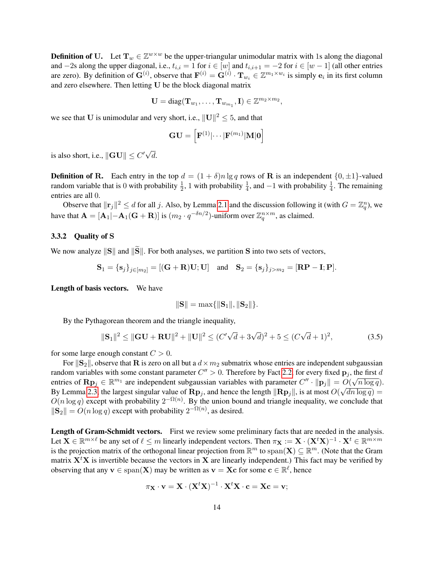**Definition of U.** Let  $\mathbf{T}_w \in \mathbb{Z}^{w \times w}$  be the upper-triangular unimodular matrix with 1s along the diagonal and  $-2s$  along the upper diagonal, i.e.,  $t_{i,i} = 1$  for  $i \in [w]$  and  $t_{i,i+1} = -2$  for  $i \in [w-1]$  (all other entries are zero). By definition of  $G^{(i)}$ , observe that  $F^{(i)} = G^{(i)} \cdot T_{w_i} \in \mathbb{Z}^{m_1 \times w_i}$  is simply  $e_i$  in its first column and zero elsewhere. Then letting U be the block diagonal matrix

$$
\mathbf{U} = \text{diag}(\mathbf{T}_{w_1}, \dots, \mathbf{T}_{w_{m_1}}, \mathbf{I}) \in \mathbb{Z}^{m_2 \times m_2},
$$

we see that U is unimodular and very short, i.e.,  $||U||^2 \le 5$ , and that

$$
\mathbf{GU}=\left[\mathbf{F}^{(1)}|\cdots|\mathbf{F}^{(m_1)}|\mathbf{M}|\mathbf{0}\right]
$$

is also short, i.e.,  $\|\mathbf{GU}\| \leq C'\sqrt{2}$ d.

**Definition of R.** Each entry in the top  $d = (1 + \delta)n \lg q$  rows of **R** is an independent  $\{0, \pm 1\}$ -valued random variable that is 0 with probability  $\frac{1}{2}$ , 1 with probability  $\frac{1}{4}$ , and  $-1$  with probability  $\frac{1}{4}$ . The remaining entries are all 0.

Observe that  $\|\mathbf{r}_j\|^2 \le d$  for all j. Also, by Lemma [2.1](#page-3-0) and the discussion following it (with  $G = \mathbb{Z}_q^n$ ), we have that  $\mathbf{A} = [\mathbf{A}_1 | -\mathbf{A}_1 (\mathbf{G} + \mathbf{R})]$  is  $(m_2 \cdot q^{-\delta n/2})$ -uniform over  $\mathbb{Z}_q^{n \times m}$ , as claimed.

#### 3.3.2 Quality of S

We now analyze  $\|\mathbf{S}\|$  and  $\|\widetilde{\mathbf{S}}\|$ . For both analyses, we partition S into two sets of vectors,

$$
\mathbf{S}_1 = \{ \mathbf{s}_j \}_{j \in [m_2]} = [(\mathbf{G} + \mathbf{R})\mathbf{U}; \mathbf{U}] \quad \text{and} \quad \mathbf{S}_2 = \{ \mathbf{s}_j \}_{j > m_2} = [\mathbf{R}\mathbf{P} - \mathbf{I}; \mathbf{P}].
$$

Length of basis vectors. We have

<span id="page-14-0"></span>
$$
\|\mathbf{S}\| = \max\{\|\mathbf{S}_1\|, \|\mathbf{S}_2\|\}.
$$

By the Pythagorean theorem and the triangle inequality,

$$
\|\mathbf{S}_1\|^2 \le \|\mathbf{GU} + \mathbf{RU}\|^2 + \|\mathbf{U}\|^2 \le (C'\sqrt{d} + 3\sqrt{d})^2 + 5 \le (C\sqrt{d} + 1)^2,
$$
 (3.5)

for some large enough constant  $C > 0$ .

For  $\|\mathbf{S}_2\|$ , observe that **R** is zero on all but a  $d \times m_2$  submatrix whose entries are independent subgaussian random variables with some constant parameter  $C'' > 0$ . Therefore by Fact [2.2,](#page-4-1) for every fixed  $p_j$ , the first d entries of  $\mathbf{R}\mathbf{p}_j \in \mathbb{R}^{m_1}$  are independent subgaussian variables with parameter  $C'' \cdot ||\mathbf{p}_j|| = O(\sqrt{n \log q})$ . By Lemma [2.3,](#page-4-2) the largest singular value of  $\mathbf{Rp}_j$ , and hence the length  $\|\mathbf{Rp}_j\|$ , is at most  $O(\sqrt{dn\log q}) =$  $O(n \log q)$  except with probability  $2^{-\Omega(n)}$ . By the union bound and triangle inequality, we conclude that  $\|\mathbf{S}_2\| = O(n \log q)$  except with probability  $2^{-\Omega(n)}$ , as desired.

Length of Gram-Schmidt vectors. First we review some preliminary facts that are needed in the analysis. Let  $\mathbf{X} \in \mathbb{R}^{m \times \ell}$  be any set of  $\ell \leq m$  linearly independent vectors. Then  $\pi_{\mathbf{X}} := \mathbf{X} \cdot (\mathbf{X}^t \mathbf{X})^{-1} \cdot \mathbf{X}^t \in \mathbb{R}^{m \times m}$ is the projection matrix of the orthogonal linear projection from  $\mathbb{R}^m$  to  $\text{span}(\mathbf{X}) \subseteq \mathbb{R}^m$ . (Note that the Gram matrix  $X<sup>t</sup>X$  is invertible because the vectors in X are linearly independent.) This fact may be verified by observing that any  $\mathbf{v} \in \text{span}(\mathbf{X})$  may be written as  $\mathbf{v} = \mathbf{Xc}$  for some  $\mathbf{c} \in \mathbb{R}^{\ell}$ , hence

$$
\pi_{\mathbf{X}} \cdot \mathbf{v} = \mathbf{X} \cdot (\mathbf{X}^t \mathbf{X})^{-1} \cdot \mathbf{X}^t \mathbf{X} \cdot \mathbf{c} = \mathbf{X} \mathbf{c} = \mathbf{v};
$$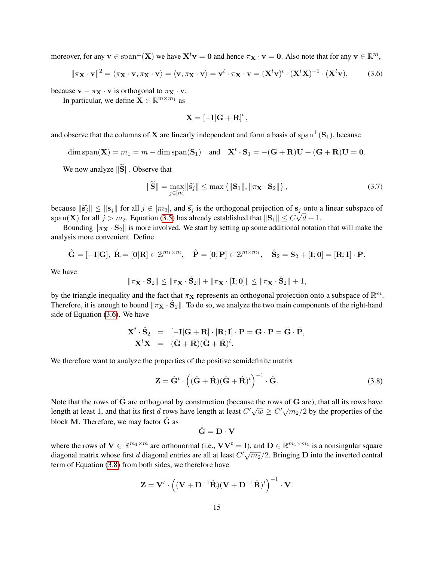moreover, for any  $\mathbf{v} \in \text{span}^{\perp}(\mathbf{X})$  we have  $\mathbf{X}^t \mathbf{v} = \mathbf{0}$  and hence  $\pi_\mathbf{X} \cdot \mathbf{v} = \mathbf{0}$ . Also note that for any  $\mathbf{v} \in \mathbb{R}^m$ ,

$$
\|\pi_{\mathbf{X}} \cdot \mathbf{v}\|^2 = \langle \pi_{\mathbf{X}} \cdot \mathbf{v}, \pi_{\mathbf{X}} \cdot \mathbf{v} \rangle = \langle \mathbf{v}, \pi_{\mathbf{X}} \cdot \mathbf{v} \rangle = \mathbf{v}^t \cdot \pi_{\mathbf{X}} \cdot \mathbf{v} = (\mathbf{X}^t \mathbf{v})^t \cdot (\mathbf{X}^t \mathbf{X})^{-1} \cdot (\mathbf{X}^t \mathbf{v}), \tag{3.6}
$$

because  $\mathbf{v} - \pi_{\mathbf{X}} \cdot \mathbf{v}$  is orthogonal to  $\pi_{\mathbf{X}} \cdot \mathbf{v}$ .

In particular, we define  $\mathbf{X} \in \mathbb{R}^{m \times m_1}$  as

<span id="page-15-0"></span>
$$
\mathbf{X} = [-\mathbf{I}]\mathbf{G} + \mathbf{R}]^t,
$$

and observe that the columns of X are linearly independent and form a basis of span<sup>⊥</sup>(S<sub>1</sub>), because

$$
\dim \operatorname{span}(\mathbf{X}) = m_1 = m - \dim \operatorname{span}(\mathbf{S}_1) \quad \text{and} \quad \mathbf{X}^t \cdot \mathbf{S}_1 = -(\mathbf{G} + \mathbf{R})\mathbf{U} + (\mathbf{G} + \mathbf{R})\mathbf{U} = \mathbf{0}.
$$

We now analyze  $\|\widetilde{S}\|$ . Observe that

$$
\|\widetilde{\mathbf{S}}\| = \max_{j \in [m]} \|\widetilde{\mathbf{s}}_j\| \le \max\left\{ \|\mathbf{S}_1\|, \|\pi_\mathbf{X} \cdot \mathbf{S}_2\|\right\},\tag{3.7}
$$

because  $\|\tilde{s}_j\| \le \|s_j\|$  for all  $j \in [m_2]$ , and  $\tilde{s}_j$  is the orthogonal projection of  $s_j$  onto a linear subspace of  $\text{span}(\mathbf{X})$  for all  $i > m$ . Equation (3.5) has already attablished that  $\|\mathbf{S}\| \le C\sqrt{d} + 1$  $\operatorname{span}(\mathbf{X})$  for all  $j > m_2.$  Equation [\(3.5\)](#page-14-0) has already established that  $\|\mathbf{S}_1\| \le C\sqrt{d} + 1.$ 

Bounding  $\|\pi_X \cdot S_2\|$  is more involved. We start by setting up some additional notation that will make the analysis more convenient. Define

$$
\hat{\mathbf{G}} = [-\mathbf{I}|\mathbf{G}], \ \hat{\mathbf{R}} = [\mathbf{0}|\mathbf{R}] \in \mathbb{Z}^{m_1 \times m}, \quad \hat{\mathbf{P}} = [\mathbf{0}; \mathbf{P}] \in \mathbb{Z}^{m \times m_1}, \quad \hat{\mathbf{S}}_2 = \mathbf{S}_2 + [\mathbf{I}; \mathbf{0}] = [\mathbf{R}; \mathbf{I}] \cdot \mathbf{P}.
$$

We have

$$
\|\pi_{\mathbf{X}}\cdot\mathbf{S}_2\| \le \|\pi_{\mathbf{X}}\cdot\hat{\mathbf{S}}_2\| + \|\pi_{\mathbf{X}}\cdot[\mathbf{I};\mathbf{0}]\| \le \|\pi_{\mathbf{X}}\cdot\hat{\mathbf{S}}_2\| + 1,
$$

by the triangle inequality and the fact that  $\pi_X$  represents an orthogonal projection onto a subspace of  $\mathbb{R}^m$ . Therefore, it is enough to bound  $\|\pi_X \cdot \hat{S}_2\|$ . To do so, we analyze the two main components of the right-hand side of Equation [\(3.6\)](#page-15-0). We have

$$
\mathbf{X}^t \cdot \hat{\mathbf{S}}_2 = [-\mathbf{I}|\mathbf{G} + \mathbf{R}] \cdot [\mathbf{R}; \mathbf{I}] \cdot \mathbf{P} = \mathbf{G} \cdot \mathbf{P} = \hat{\mathbf{G}} \cdot \hat{\mathbf{P}},
$$
  

$$
\mathbf{X}^t \mathbf{X} = (\hat{\mathbf{G}} + \hat{\mathbf{R}})(\hat{\mathbf{G}} + \hat{\mathbf{R}})^t.
$$

We therefore want to analyze the properties of the positive semidefinite matrix

$$
\mathbf{Z} = \hat{\mathbf{G}}^t \cdot \left( (\hat{\mathbf{G}} + \hat{\mathbf{R}})(\hat{\mathbf{G}} + \hat{\mathbf{R}})^t \right)^{-1} \cdot \hat{\mathbf{G}}.
$$
 (3.8)

Note that the rows of  $\hat{G}$  are orthogonal by construction (because the rows of  $G$  are), that all its rows have length at least 1, and that its first d rows have length at least  $C'\sqrt{w} \ge C'\sqrt{m_2}/2$  by the properties of the block M. Therefore, we may factor  $\hat{G}$  as

<span id="page-15-1"></span>
$$
\hat{\mathbf{G}} = \mathbf{D} \cdot \mathbf{V}
$$

where the rows of  $V \in \mathbb{R}^{m_1 \times m}$  are orthonormal (i.e.,  $VV^t = I$ ), and  $D \in \mathbb{R}^{m_1 \times m_1}$  is a nonsingular square diagonal matrix whose first d diagonal entries are all at least  $C' \sqrt{m_2}/2$ . Bringing D into the inverted central term of Equation [\(3.8\)](#page-15-1) from both sides, we therefore have

$$
\mathbf{Z} = \mathbf{V}^t \cdot \left( (\mathbf{V} + \mathbf{D}^{-1} \hat{\mathbf{R}}) (\mathbf{V} + \mathbf{D}^{-1} \hat{\mathbf{R}})^t \right)^{-1} \cdot \mathbf{V}.
$$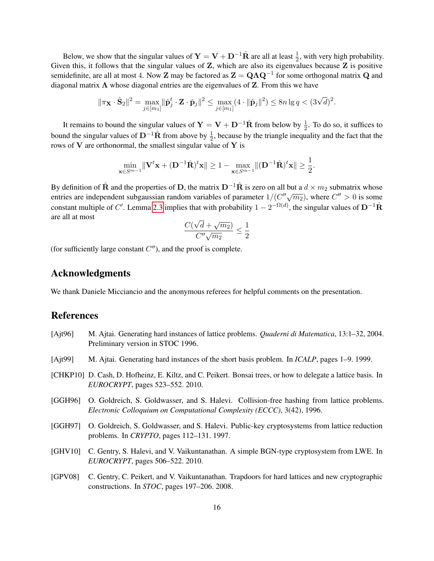Below, we show that the singular values of  $Y = V + D^{-1}\hat{R}$  are all at least  $\frac{1}{2}$ , with very high probability. Given this, it follows that the singular values of Z, which are also its eigenvalues because Z is positive semidefinite, are all at most 4. Now **Z** may be factored as  $\mathbf{Z} = \mathbf{Q} \Lambda \mathbf{Q}^{-1}$  for some orthogonal matrix  $\mathbf{Q}$  and diagonal matrix  $\Lambda$  whose diagonal entries are the eigenvalues of Z. From this we have

$$
\|\pi_{\mathbf{X}} \cdot \hat{\mathbf{S}}_2\|^2 = \max_{j \in [m_1]} \|\hat{\mathbf{p}}_j^t \cdot \mathbf{Z} \cdot \hat{\mathbf{p}}_j\|^2 \le \max_{j \in [m_1]} (4 \cdot \|\hat{\mathbf{p}}_j\|^2) \le 8n \lg q < (3\sqrt{d})^2.
$$

It remains to bound the singular values of  $Y = V + D^{-1}\hat{R}$  from below by  $\frac{1}{2}$ . To do so, it suffices to bound the singular values of D<sup>-1</sup> $\hat{R}$  from above by  $\frac{1}{2}$ , because by the triangle inequality and the fact that the rows of  $V$  are orthonormal, the smallest singular value of  $Y$  is

$$
\min_{\mathbf{x} \in S^{m-1}} \lVert \mathbf{V}^t \mathbf{x} + (\mathbf{D}^{-1} \hat{\mathbf{R}})^t \mathbf{x} \rVert \ge 1 - \max_{\mathbf{x} \in S^{m-1}} \lVert (\mathbf{D}^{-1} \hat{\mathbf{R}})^t \mathbf{x} \rVert \ge \frac{1}{2}.
$$

By definition of  $\hat{\mathbf{R}}$  and the properties of D, the matrix D<sup>-1</sup> $\hat{\mathbf{R}}$  is zero on all but a  $d \times m_2$  submatrix whose EXECT BY DETERMINION OF THE ARRY THE IS LOC ON AN ORDER THE 2 MODIFICATION WHOSE entries are independent subgaussian random variables of parameter  $1/(C''\sqrt{m_2})$ , where  $C'' > 0$  is some constant multiple of C'. Lemma [2.3](#page-4-2) implies that with probability  $1 - 2^{-\Omega(d)}$ , the singular values of  $D^{-1}\hat{R}$ are all at most √

$$
\frac{C(\sqrt{d} + \sqrt{m_2})}{C''\sqrt{m_2}} \le \frac{1}{2}
$$

(for sufficiently large constant  $C''$ ), and the proof is complete.

# Acknowledgments

We thank Daniele Micciancio and the anonymous referees for helpful comments on the presentation.

# References

- <span id="page-16-0"></span>[Ajt96] M. Ajtai. Generating hard instances of lattice problems. *Quaderni di Matematica*, 13:1–32, 2004. Preliminary version in STOC 1996.
- <span id="page-16-4"></span>[Ajt99] M. Ajtai. Generating hard instances of the short basis problem. In *ICALP*, pages 1–9. 1999.
- <span id="page-16-5"></span>[CHKP10] D. Cash, D. Hofheinz, E. Kiltz, and C. Peikert. Bonsai trees, or how to delegate a lattice basis. In *EUROCRYPT*, pages 523–552. 2010.
- <span id="page-16-1"></span>[GGH96] O. Goldreich, S. Goldwasser, and S. Halevi. Collision-free hashing from lattice problems. *Electronic Colloquium on Computational Complexity (ECCC)*, 3(42), 1996.
- <span id="page-16-3"></span>[GGH97] O. Goldreich, S. Goldwasser, and S. Halevi. Public-key cryptosystems from lattice reduction problems. In *CRYPTO*, pages 112–131. 1997.
- <span id="page-16-6"></span>[GHV10] C. Gentry, S. Halevi, and V. Vaikuntanathan. A simple BGN-type cryptosystem from LWE. In *EUROCRYPT*, pages 506–522. 2010.
- <span id="page-16-2"></span>[GPV08] C. Gentry, C. Peikert, and V. Vaikuntanathan. Trapdoors for hard lattices and new cryptographic constructions. In *STOC*, pages 197–206. 2008.